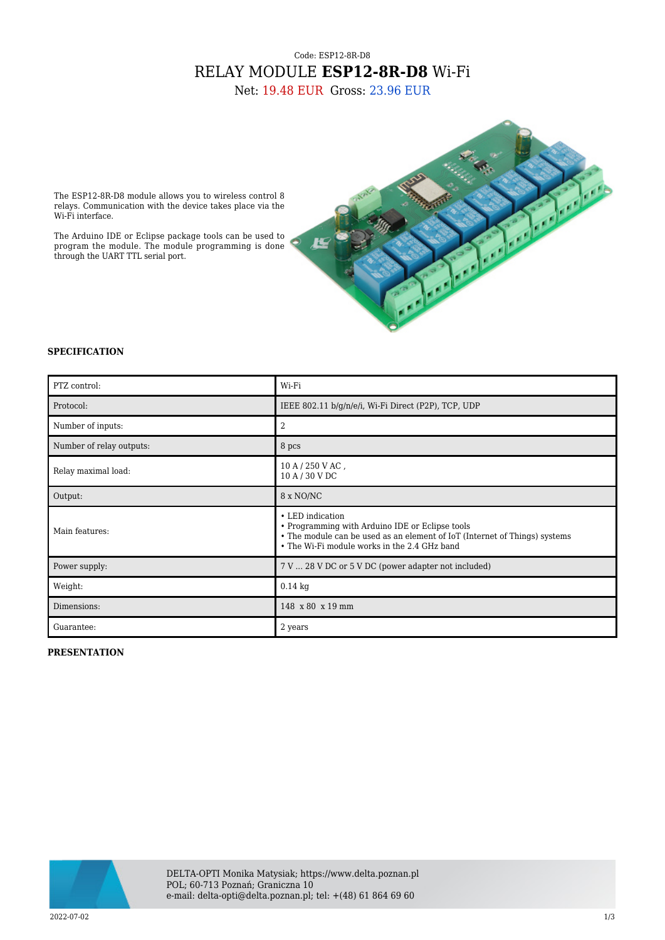## Code: ESP12-8R-D8 RELAY MODULE **ESP12-8R-D8** Wi-Fi

Net: 19.48 EUR Gross: 23.96 EUR



The ESP12-8R-D8 module allows you to wireless control 8 relays. Communication with the device takes place via the Wi-Fi interface.

The Arduino IDE or Eclipse package tools can be used to program the module. The module programming is done through the UART TTL serial port.

## **SPECIFICATION**

| PTZ control:             | Wi-Fi                                                                                                                                                                                             |
|--------------------------|---------------------------------------------------------------------------------------------------------------------------------------------------------------------------------------------------|
| Protocol:                | IEEE 802.11 b/g/n/e/i, Wi-Fi Direct (P2P), TCP, UDP                                                                                                                                               |
| Number of inputs:        | 2                                                                                                                                                                                                 |
| Number of relay outputs: | 8 pcs                                                                                                                                                                                             |
| Relay maximal load:      | $10 A / 250 V AC$ ,<br>10 A / 30 V DC                                                                                                                                                             |
| Output:                  | 8 x NO/NC                                                                                                                                                                                         |
| Main features:           | • LED indication<br>• Programming with Arduino IDE or Eclipse tools<br>• The module can be used as an element of IoT (Internet of Things) systems<br>• The Wi-Fi module works in the 2.4 GHz band |
| Power supply:            | 7 V  28 V DC or 5 V DC (power adapter not included)                                                                                                                                               |
| Weight:                  | $0.14$ kg                                                                                                                                                                                         |
| Dimensions:              | 148 x 80 x 19 mm                                                                                                                                                                                  |
| Guarantee:               | 2 years                                                                                                                                                                                           |

## **PRESENTATION**

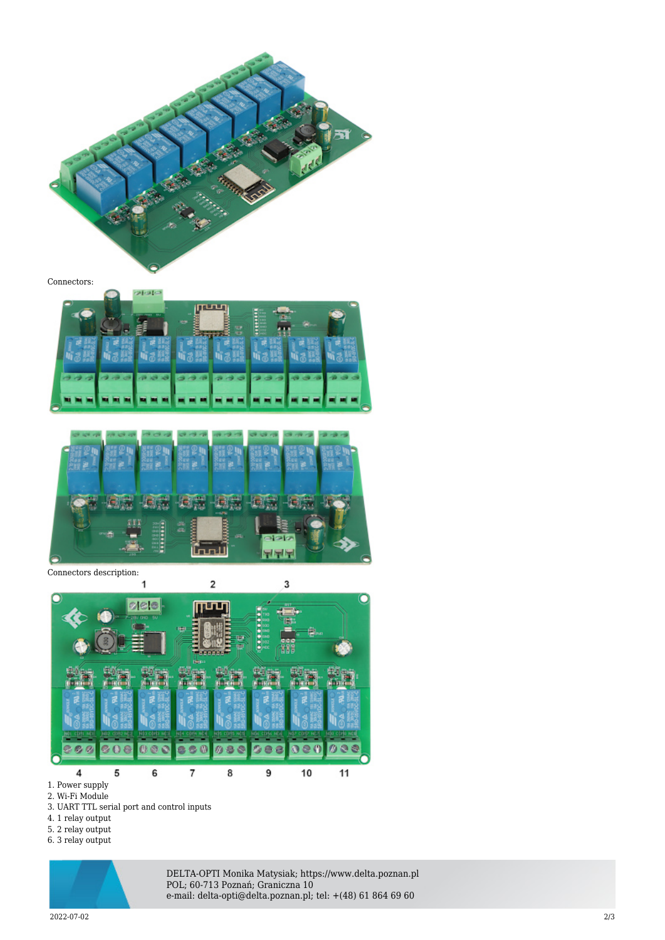

Connectors:





Connectors description:



1. Power supply

2. Wi-Fi Module

3. UART TTL serial port and control inputs

- 4. 1 relay output
- 5. 2 relay output

6. 3 relay output



DELTA-OPTI Monika Matysiak; https://www.delta.poznan.pl POL; 60-713 Poznań; Graniczna 10 e-mail: delta-opti@delta.poznan.pl; tel: +(48) 61 864 69 60